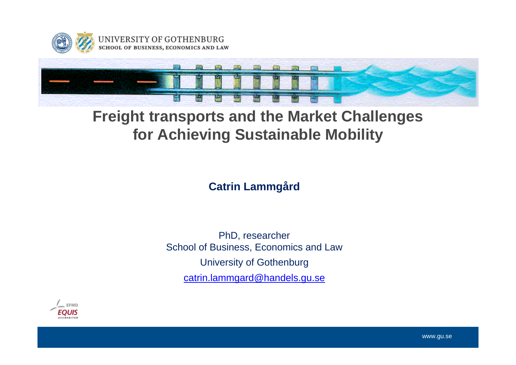



# **Freight transports and the Market Challenges for Achieving Sustainable Mobility**

**Catrin Lammgård**

PhD, researcher School of Business, Economics and Law University of Gothenburg [catrin.lammgard@handels.gu.se](mailto:catrin.lammgard@handels.gu.se)

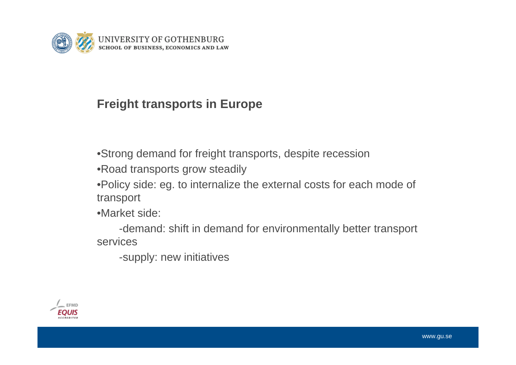

# **Freight transports in Europe**

•Strong demand for freight transports, despite recession

•Road transports grow steadily

•Policy side: eg. to internalize the external costs for each mode of transport

•Market side:

-demand: shift in demand for environmentally better transport services

-supply: new initiatives

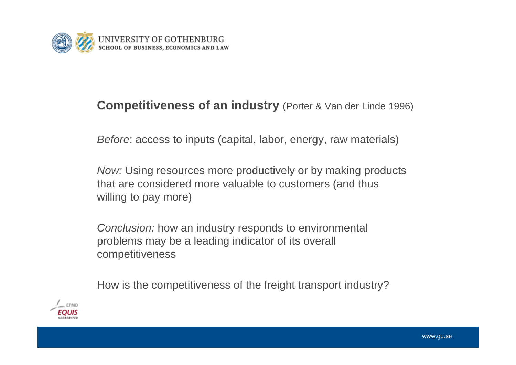

#### **Competitiveness of an industry** (Porter & Van der Linde 1996)

*Before*: access to inputs (capital, labor, energy, raw materials)

*Now:* Using resources more productively or by making products that are considered more valuable to customers (and thus willing to pay more)

*Conclusion:* how an industry responds to environmental problems may be a leading indicator of its overall competitiveness

How is the competitiveness of the freight transport industry?

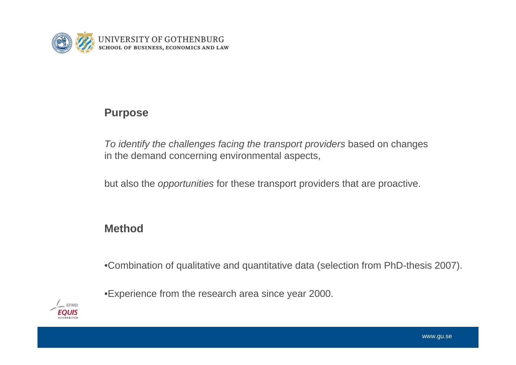

#### **Purpose**

*To identify the challenges facing the transport providers* based on changes in the demand concerning environmental aspects,

but also the *opportunities* for these transport providers that are proactive.

#### **Method**

•Combination of qualitative and quantitative data (selection from PhD-thesis 2007).



•Experience from the research area since year 2000.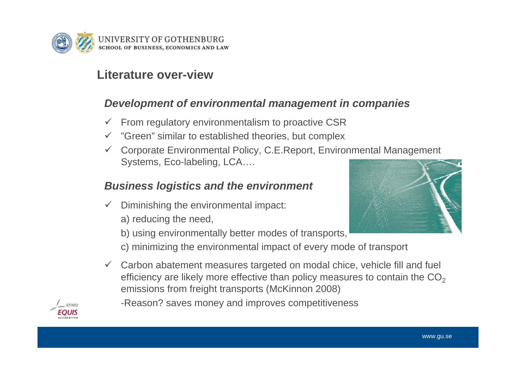

### **Literature over-view**

#### *Development of environmental management in companies*

- $\checkmark$ From regulatory environmentalism to proactive CSR
- $\checkmark$ "Green" similar to established theories, but complex
- $\checkmark$  Corporate Environmental Policy, C.E.Report, Environmental Management Systems, Eco-labeling, LCA….

#### *Business logistics and the environment*

- $\checkmark$  Diminishing the environmental impact:
	- a) reducing the need,

b) using environmentally better modes of transports,

c) minimizing the environmental impact of every mode of transport

 $\checkmark$  Carbon abatement measures targeted on modal chice, vehicle fill and fuel efficiency are likely more effective than policy measures to contain the  $CO<sub>2</sub>$ emissions from freight transports (McKinnon 2008)

-Reason? saves money and improves competitiveness



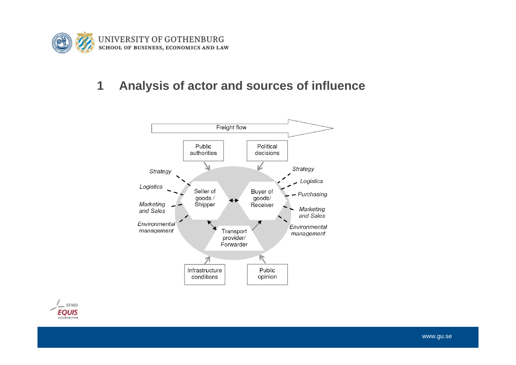

#### **1 Analysis of actor and sources of influence**



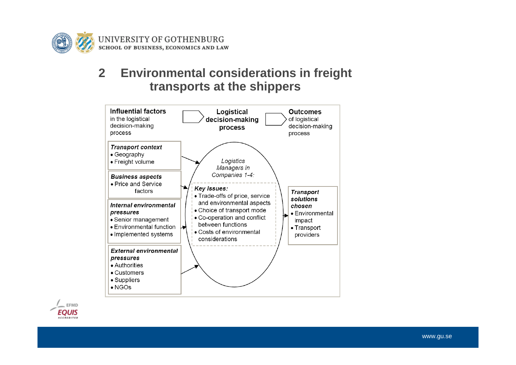

#### **2 Environmental considerations in freight transports at the shippers**



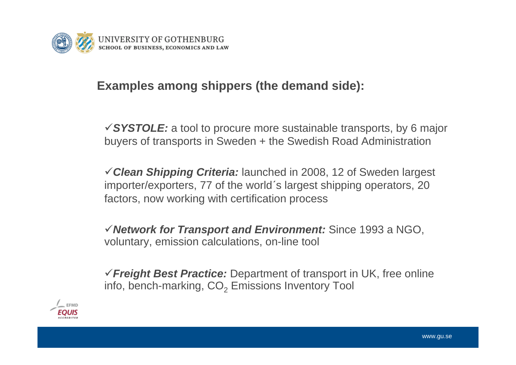

#### **Examples among shippers (the demand side):**

*√SYSTOLE:* a tool to procure more sustainable transports, by 6 major buyers of transports in Sweden + the Swedish Road Administration

*Clean Shipping Criteria:* launched in 2008, 12 of Sweden largest importer/exporters, 77 of the world´s largest shipping operators, 20 factors, now working with certification process

*Network for Transport and Environment:* Since 1993 a NGO, voluntary, emission calculations, on-line tool

*Freight Best Practice:* Department of transport in UK, free online info, bench-marking,  $CO<sub>2</sub>$  Emissions Inventory Tool

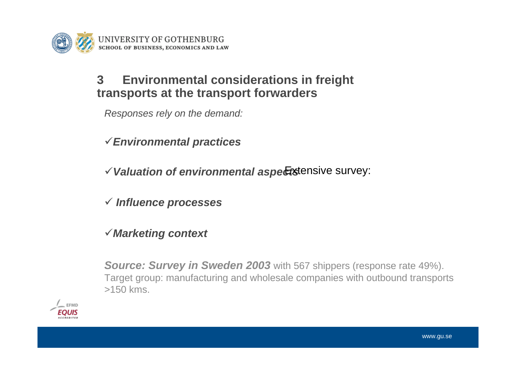

### **3 Environmental considerations in freight transports at the transport forwarders**

*Responses rely on the demand:* 

*Environmental practices*

✓ **Valuation of environmental aspeCxt**ensive survey:

*Influence processes*

*Marketing context*

**Source: Survey in Sweden 2003** with 567 shippers (response rate 49%). Target group: manufacturing and wholesale companies with outbound transports >150 kms.

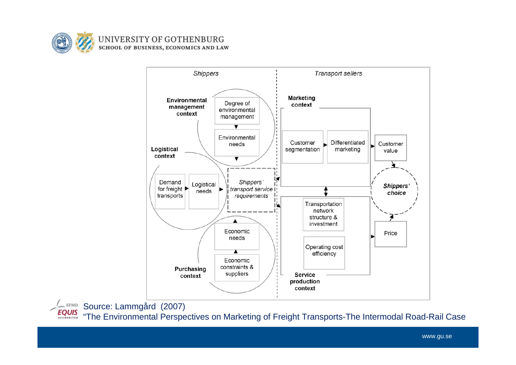

#### UNIVERSITY OF GOTHENBURG SCHOOL OF BUSINESS, ECONOMICS AND LAW



EFMD Source: Lammgård (2007) **EQUIS** 

"The Environmental Perspectives on Marketing of Freight Transports-The Intermodal Road-Rail CaseACCREDITED

www.gu.se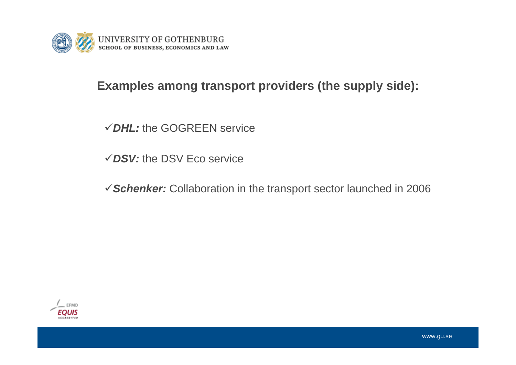

#### **Examples among transport providers (the supply side):**

**√DHL:** the GOGREEN service

**√DSV:** the DSV Eco service

*Schenker:* Collaboration in the transport sector launched in 2006

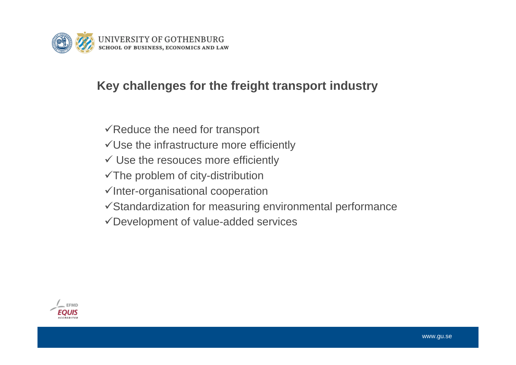

## **Key challenges for the freight transport industry**

- $\sqrt{\ }$ Reduce the need for transport
- $\checkmark$ Use the infrastructure more efficiently
- $\checkmark$  Use the resouces more efficiently
- $\checkmark$ The problem of city-distribution
- $\checkmark$  Inter-organisational cooperation
- Standardization for measuring environmental performance
- Development of value-added services

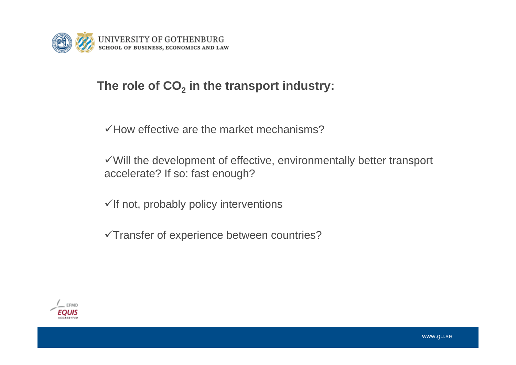

## The role of CO<sub>2</sub> in the transport industry:

 $\checkmark$  How effective are the market mechanisms?

Will the development of effective, environmentally better transport accelerate? If so: fast enough?

 $\checkmark$  If not, probably policy interventions

 $\checkmark$ Transfer of experience between countries?